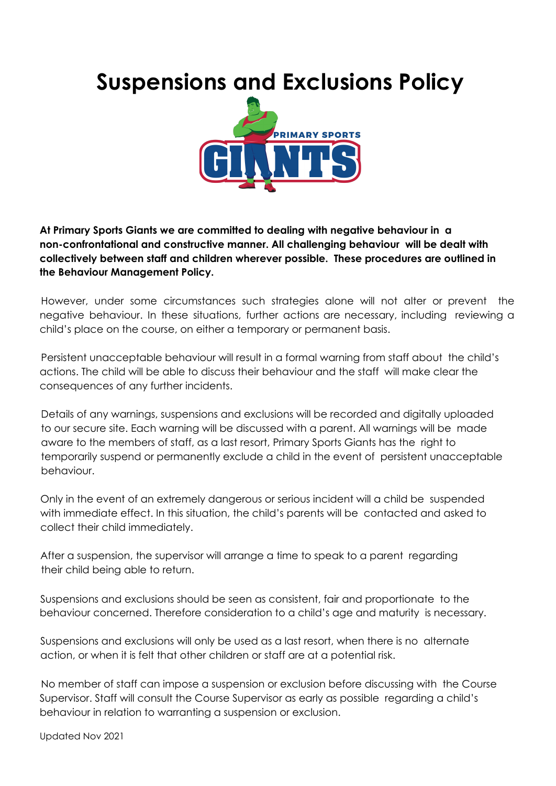## **Suspensions and Exclusions Policy**



**At Primary Sports Giants we are committed to dealing with negative behaviour in a non-confrontational and constructive manner. All challenging behaviour will be dealt with collectively between staff and children wherever possible. These procedures are outlined in the Behaviour Management Policy.**

However, under some circumstances such strategies alone will not alter or prevent the negative behaviour. In these situations, further actions are necessary, including reviewing a child's place on the course, on either a temporary or permanent basis.

Persistent unacceptable behaviour will result in a formal warning from staff about the child's actions. The child will be able to discuss their behaviour and the staff will make clear the consequences of any further incidents.

Details of any warnings, suspensions and exclusions will be recorded and digitally uploaded to our secure site. Each warning will be discussed with a parent. All warnings will be made aware to the members of staff, as a last resort, Primary Sports Giants has the right to temporarily suspend or permanently exclude a child in the event of persistent unacceptable behaviour.

Only in the event of an extremely dangerous or serious incident will a child be suspended with immediate effect. In this situation, the child's parents will be contacted and asked to collect their child immediately.

After a suspension, the supervisor will arrange a time to speak to a parent regarding their child being able to return.

Suspensions and exclusions should be seen as consistent, fair and proportionate to the behaviour concerned. Therefore consideration to a child's age and maturity is necessary.

Suspensions and exclusions will only be used as a last resort, when there is no alternate action, or when it is felt that other children or staff are at a potential risk.

No member of staff can impose a suspension or exclusion before discussing with the Course Supervisor. Staff will consult the Course Supervisor as early as possible regarding a child's behaviour in relation to warranting a suspension or exclusion.